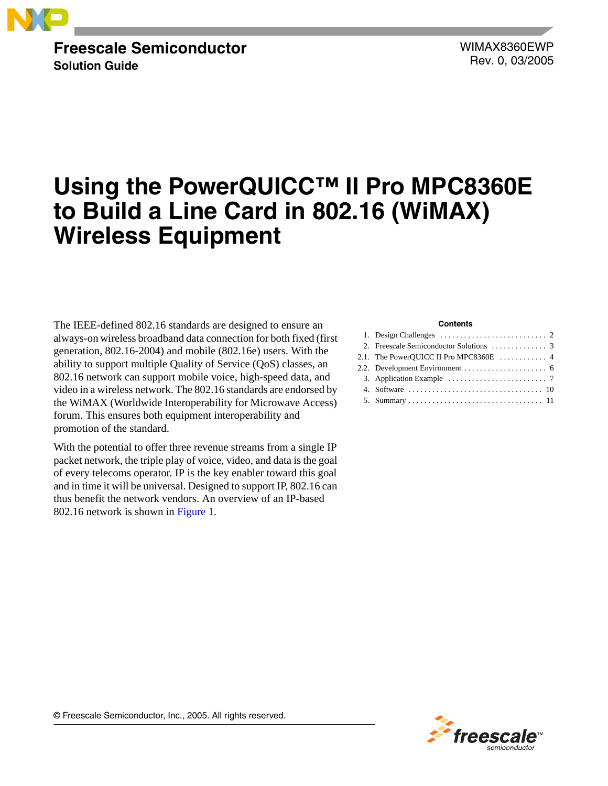

## **Freescale Semiconductor Solution Guide**

WIMAX8360EWP Rev. 0, 03/2005

# **Using the PowerQUICC™ II Pro MPC8360E to Build a Line Card in 802.16 (WiMAX) Wireless Equipment**

The IEEE-defined 802.16 standards are designed to ensure an always-on wireless broadband data connection for both fixed (first generation, 802.16-2004) and mobile (802.16e) users. With the ability to support multiple Quality of Service (QoS) classes, an 802.16 network can support mobile voice, high-speed data, and video in a wireless network. The 802.16 standards are endorsed by the WiMAX (Worldwide Interoperability for Microwave Access) forum. This ensures both equipment interoperability and promotion of the standard.

With the potential to offer three revenue streams from a single IP packet network, the triple play of voice, video, and data is the goal of every telecoms operator. IP is the key enabler toward this goal and in time it will be universal. Designed to support IP, 802.16 can thus benefit the network vendors. An overview of an IP-based 802.16 network is shown in [Figure 1](#page-1-1).

#### **Contents**

| 1. Design Challenges $\ldots \ldots \ldots \ldots \ldots \ldots \ldots \ldots$ 2 |  |
|----------------------------------------------------------------------------------|--|
|                                                                                  |  |
|                                                                                  |  |
|                                                                                  |  |
|                                                                                  |  |
|                                                                                  |  |
|                                                                                  |  |



© Freescale Semiconductor, Inc., 2005. All rights reserved.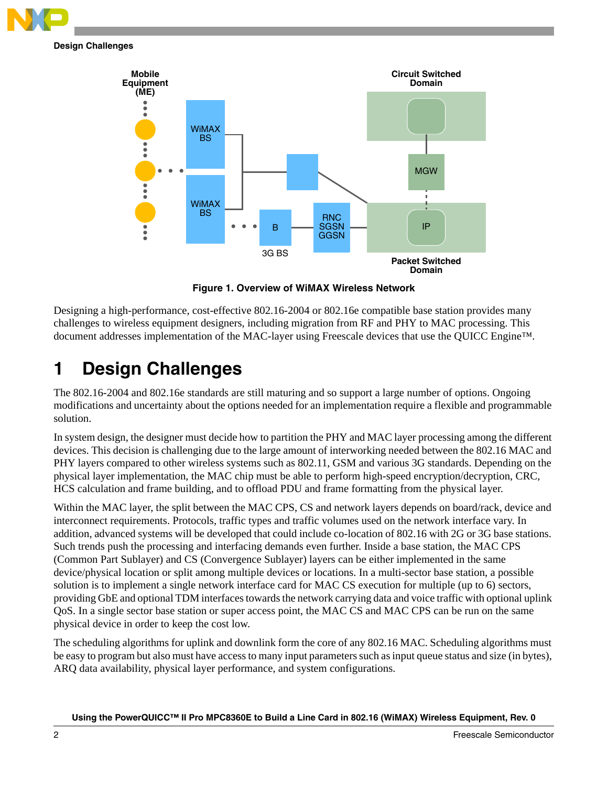

**Design Challenges**



**Figure 1. Overview of WiMAX Wireless Network**

<span id="page-1-1"></span>Designing a high-performance, cost-effective 802.16-2004 or 802.16e compatible base station provides many challenges to wireless equipment designers, including migration from RF and PHY to MAC processing. This document addresses implementation of the MAC-layer using Freescale devices that use the QUICC Engine™.

# <span id="page-1-0"></span>**1 Design Challenges**

The 802.16-2004 and 802.16e standards are still maturing and so support a large number of options. Ongoing modifications and uncertainty about the options needed for an implementation require a flexible and programmable solution.

In system design, the designer must decide how to partition the PHY and MAC layer processing among the different devices. This decision is challenging due to the large amount of interworking needed between the 802.16 MAC and PHY layers compared to other wireless systems such as 802.11, GSM and various 3G standards. Depending on the physical layer implementation, the MAC chip must be able to perform high-speed encryption/decryption, CRC, HCS calculation and frame building, and to offload PDU and frame formatting from the physical layer.

Within the MAC layer, the split between the MAC CPS, CS and network layers depends on board/rack, device and interconnect requirements. Protocols, traffic types and traffic volumes used on the network interface vary. In addition, advanced systems will be developed that could include co-location of 802.16 with 2G or 3G base stations. Such trends push the processing and interfacing demands even further. Inside a base station, the MAC CPS (Common Part Sublayer) and CS (Convergence Sublayer) layers can be either implemented in the same device/physical location or split among multiple devices or locations. In a multi-sector base station, a possible solution is to implement a single network interface card for MAC CS execution for multiple (up to 6) sectors, providing GbE and optional TDM interfaces towards the network carrying data and voice traffic with optional uplink QoS. In a single sector base station or super access point, the MAC CS and MAC CPS can be run on the same physical device in order to keep the cost low.

The scheduling algorithms for uplink and downlink form the core of any 802.16 MAC. Scheduling algorithms must be easy to program but also must have access to many input parameters such as input queue status and size (in bytes), ARQ data availability, physical layer performance, and system configurations.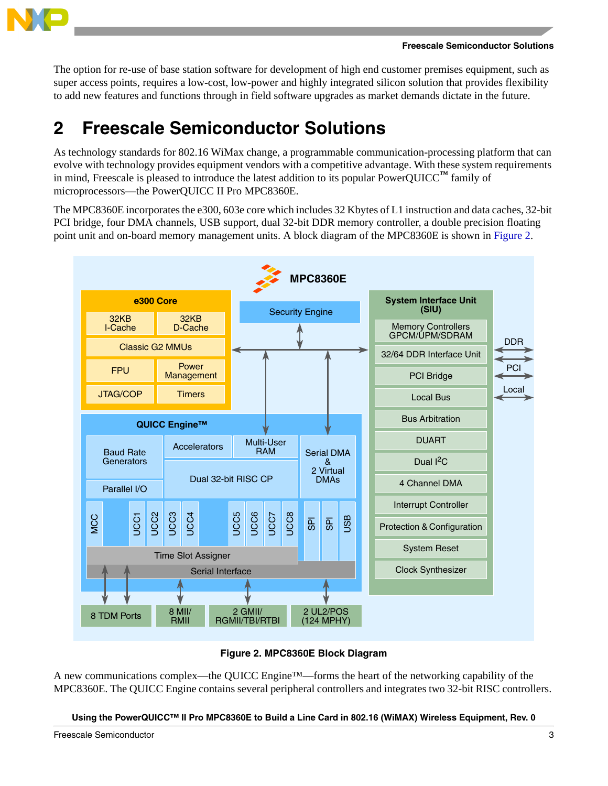

The option for re-use of base station software for development of high end customer premises equipment, such as super access points, requires a low-cost, low-power and highly integrated silicon solution that provides flexibility to add new features and functions through in field software upgrades as market demands dictate in the future.

# <span id="page-2-0"></span>**2 Freescale Semiconductor Solutions**

As technology standards for 802.16 WiMax change, a programmable communication-processing platform that can evolve with technology provides equipment vendors with a competitive advantage. With these system requirements in mind, Freescale is pleased to introduce the latest addition to its popular PowerQUICC<sup>™</sup> family of microprocessors—the PowerQUICC II Pro MPC8360E.

The MPC8360E incorporates the e300, 603e core which includes 32 Kbytes of L1 instruction and data caches, 32-bit PCI bridge, four DMA channels, USB support, dual 32-bit DDR memory controller, a double precision floating point unit and on-board memory management units. A block diagram of the MPC8360E is shown in [Figure 2](#page-2-1).



## **Figure 2. MPC8360E Block Diagram**

<span id="page-2-1"></span>A new communications complex—the QUICC Engine™—forms the heart of the networking capability of the MPC8360E. The QUICC Engine contains several peripheral controllers and integrates two 32-bit RISC controllers.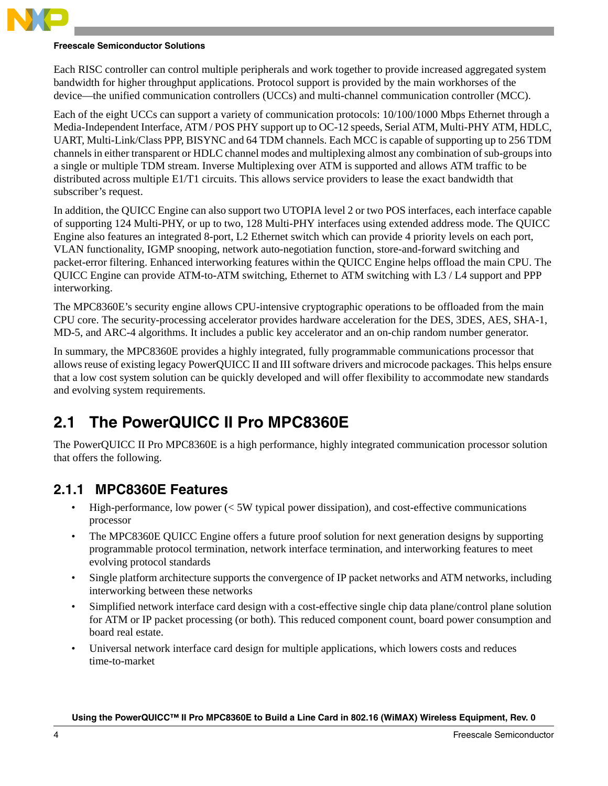

## **Freescale Semiconductor Solutions**

Each RISC controller can control multiple peripherals and work together to provide increased aggregated system bandwidth for higher throughput applications. Protocol support is provided by the main workhorses of the device—the unified communication controllers (UCCs) and multi-channel communication controller (MCC).

Each of the eight UCCs can support a variety of communication protocols: 10/100/1000 Mbps Ethernet through a Media-Independent Interface, ATM / POS PHY support up to OC-12 speeds, Serial ATM, Multi-PHY ATM, HDLC, UART, Multi-Link/Class PPP, BISYNC and 64 TDM channels. Each MCC is capable of supporting up to 256 TDM channels in either transparent or HDLC channel modes and multiplexing almost any combination of sub-groups into a single or multiple TDM stream. Inverse Multiplexing over ATM is supported and allows ATM traffic to be distributed across multiple E1/T1 circuits. This allows service providers to lease the exact bandwidth that subscriber's request.

In addition, the QUICC Engine can also support two UTOPIA level 2 or two POS interfaces, each interface capable of supporting 124 Multi-PHY, or up to two, 128 Multi-PHY interfaces using extended address mode. The QUICC Engine also features an integrated 8-port, L2 Ethernet switch which can provide 4 priority levels on each port, VLAN functionality, IGMP snooping, network auto-negotiation function, store-and-forward switching and packet-error filtering. Enhanced interworking features within the QUICC Engine helps offload the main CPU. The QUICC Engine can provide ATM-to-ATM switching, Ethernet to ATM switching with L3 / L4 support and PPP interworking.

The MPC8360E's security engine allows CPU-intensive cryptographic operations to be offloaded from the main CPU core. The security-processing accelerator provides hardware acceleration for the DES, 3DES, AES, SHA-1, MD-5, and ARC-4 algorithms. It includes a public key accelerator and an on-chip random number generator.

In summary, the MPC8360E provides a highly integrated, fully programmable communications processor that allows reuse of existing legacy PowerQUICC II and III software drivers and microcode packages. This helps ensure that a low cost system solution can be quickly developed and will offer flexibility to accommodate new standards and evolving system requirements.

# <span id="page-3-0"></span>**2.1 The PowerQUICC II Pro MPC8360E**

The PowerQUICC II Pro MPC8360E is a high performance, highly integrated communication processor solution that offers the following.

# **2.1.1 MPC8360E Features**

- High-performance, low power  $\ll$  5W typical power dissipation), and cost-effective communications processor
- The MPC8360E QUICC Engine offers a future proof solution for next generation designs by supporting programmable protocol termination, network interface termination, and interworking features to meet evolving protocol standards
- Single platform architecture supports the convergence of IP packet networks and ATM networks, including interworking between these networks
- Simplified network interface card design with a cost-effective single chip data plane/control plane solution for ATM or IP packet processing (or both). This reduced component count, board power consumption and board real estate.
- Universal network interface card design for multiple applications, which lowers costs and reduces time-to-market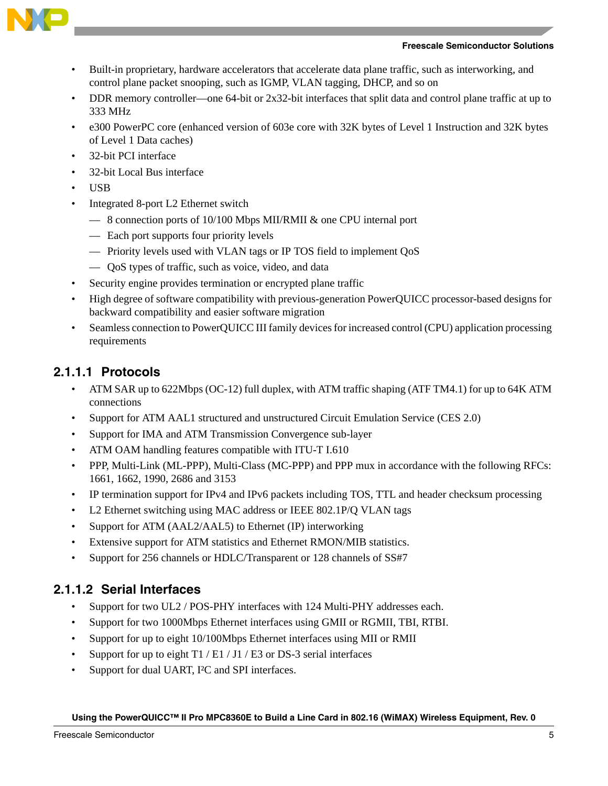



- Built-in proprietary, hardware accelerators that accelerate data plane traffic, such as interworking, and control plane packet snooping, such as IGMP, VLAN tagging, DHCP, and so on
- DDR memory controller—one 64-bit or 2x32-bit interfaces that split data and control plane traffic at up to 333 MHz
- e300 PowerPC core (enhanced version of 603e core with 32K bytes of Level 1 Instruction and 32K bytes of Level 1 Data caches)
- 32-bit PCI interface
- 32-bit Local Bus interface
- USB
- Integrated 8-port L2 Ethernet switch
	- 8 connection ports of 10/100 Mbps MII/RMII & one CPU internal port
	- Each port supports four priority levels
	- Priority levels used with VLAN tags or IP TOS field to implement QoS
	- QoS types of traffic, such as voice, video, and data
- Security engine provides termination or encrypted plane traffic
- High degree of software compatibility with previous-generation PowerQUICC processor-based designs for backward compatibility and easier software migration
- Seamless connection to PowerQUICC III family devices for increased control (CPU) application processing requirements

## **2.1.1.1 Protocols**

- ATM SAR up to 622Mbps (OC-12) full duplex, with ATM traffic shaping (ATF TM4.1) for up to 64K ATM connections
- Support for ATM AAL1 structured and unstructured Circuit Emulation Service (CES 2.0)
- Support for IMA and ATM Transmission Convergence sub-layer
- ATM OAM handling features compatible with ITU-T I.610
- PPP, Multi-Link (ML-PPP), Multi-Class (MC-PPP) and PPP mux in accordance with the following RFCs: 1661, 1662, 1990, 2686 and 3153
- IP termination support for IPv4 and IPv6 packets including TOS, TTL and header checksum processing
- L2 Ethernet switching using MAC address or IEEE 802.1P/Q VLAN tags
- Support for ATM (AAL2/AAL5) to Ethernet (IP) interworking
- Extensive support for ATM statistics and Ethernet RMON/MIB statistics.
- Support for 256 channels or HDLC/Transparent or 128 channels of SS#7

## **2.1.1.2 Serial Interfaces**

- Support for two UL2 / POS-PHY interfaces with 124 Multi-PHY addresses each.
- Support for two 1000Mbps Ethernet interfaces using GMII or RGMII, TBI, RTBI.
- Support for up to eight 10/100Mbps Ethernet interfaces using MII or RMII
- Support for up to eight  $T1 / E1 / J1 / E3$  or DS-3 serial interfaces
- Support for dual UART, I<sup>2</sup>C and SPI interfaces.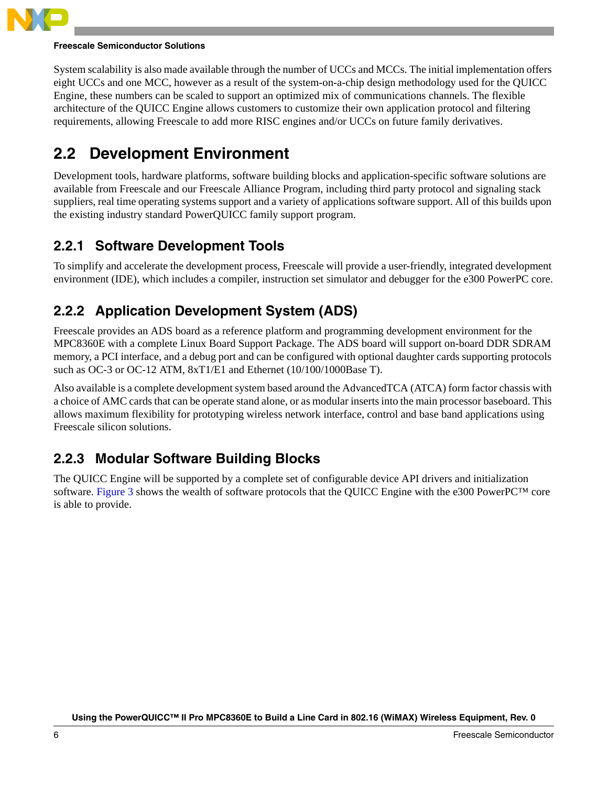

### **Freescale Semiconductor Solutions**

System scalability is also made available through the number of UCCs and MCCs. The initial implementation offers eight UCCs and one MCC, however as a result of the system-on-a-chip design methodology used for the QUICC Engine, these numbers can be scaled to support an optimized mix of communications channels. The flexible architecture of the QUICC Engine allows customers to customize their own application protocol and filtering requirements, allowing Freescale to add more RISC engines and/or UCCs on future family derivatives.

# <span id="page-5-0"></span>**2.2 Development Environment**

Development tools, hardware platforms, software building blocks and application-specific software solutions are available from Freescale and our Freescale Alliance Program, including third party protocol and signaling stack suppliers, real time operating systems support and a variety of applications software support. All of this builds upon the existing industry standard PowerQUICC family support program.

# **2.2.1 Software Development Tools**

To simplify and accelerate the development process, Freescale will provide a user-friendly, integrated development environment (IDE), which includes a compiler, instruction set simulator and debugger for the e300 PowerPC core.

# **2.2.2 Application Development System (ADS)**

Freescale provides an ADS board as a reference platform and programming development environment for the MPC8360E with a complete Linux Board Support Package. The ADS board will support on-board DDR SDRAM memory, a PCI interface, and a debug port and can be configured with optional daughter cards supporting protocols such as OC-3 or OC-12 ATM,  $8xT1/E1$  and Ethernet (10/100/1000Base T).

Also available is a complete development system based around the AdvancedTCA (ATCA) form factor chassis with a choice of AMC cards that can be operate stand alone, or as modular inserts into the main processor baseboard. This allows maximum flexibility for prototyping wireless network interface, control and base band applications using Freescale silicon solutions.

# **2.2.3 Modular Software Building Blocks**

The QUICC Engine will be supported by a complete set of configurable device API drivers and initialization software. [Figure 3](#page-6-1) shows the wealth of software protocols that the QUICC Engine with the e300 PowerPC™ core is able to provide.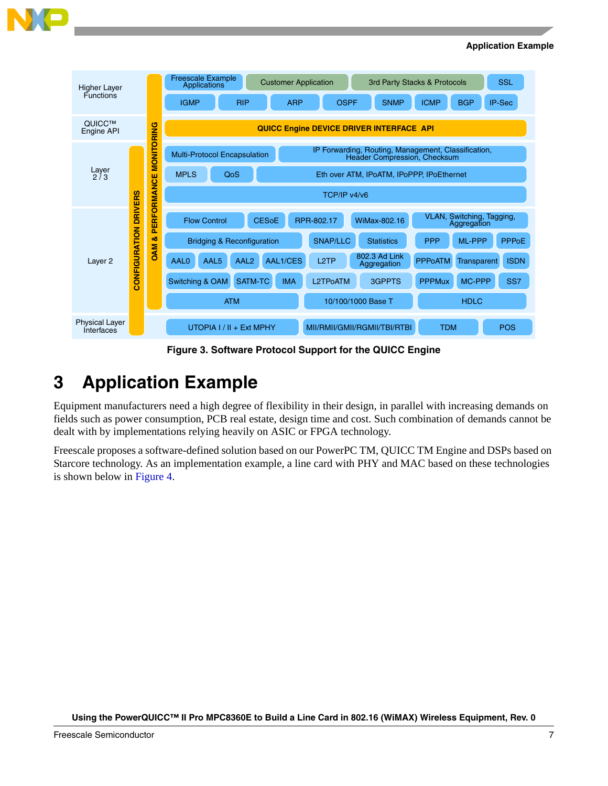

#### **Application Example**

| <b>Higher Layer</b>                                               |                                                                |              | <b>Freescale Example</b><br><b>Customer Application</b><br>Applications |                              |                   |                                           | 3rd Party Stacks & Protocols                        | <b>SSL</b>   |  |
|-------------------------------------------------------------------|----------------------------------------------------------------|--------------|-------------------------------------------------------------------------|------------------------------|-------------------|-------------------------------------------|-----------------------------------------------------|--------------|--|
| <b>Functions</b>                                                  |                                                                |              | <b>RIP</b><br><b>IGMP</b>                                               | <b>ARP</b>                   | <b>OSPF</b>       | <b>SNMP</b>                               | <b>BGP</b><br><b>ICMP</b>                           | IP-Sec       |  |
| QUICC™<br>Engine API                                              |                                                                | RING         | QUICC Engine DEVICE DRIVER INTERFACE API                                |                              |                   |                                           |                                                     |              |  |
|                                                                   |                                                                | <b>DINDM</b> | <b>Multi-Protocol Encapsulation</b>                                     |                              |                   | Header Compression, Checksum              | IP Forwarding, Routing, Management, Classification, |              |  |
| Layer<br>2/3                                                      |                                                                | ш            | <b>MPLS</b><br>QoS                                                      |                              |                   | Eth over ATM. IPoATM. IPoPPP. IPoEthernet |                                                     |              |  |
|                                                                   | ORMANC<br>CONFIGURATION DRIVERS<br>Ě<br>ō.<br>οð<br><b>DAM</b> |              | TCP/IP v4/v6                                                            |                              |                   |                                           |                                                     |              |  |
|                                                                   |                                                                |              | <b>Flow Control</b>                                                     | <b>CESOE</b>                 | RPR-802.17        | WiMax-802.16                              | VLAN, Switching, Tagging,<br>Aggregation            |              |  |
|                                                                   |                                                                |              | <b>Bridging &amp; Reconfiguration</b>                                   |                              | <b>SNAP/LLC</b>   | <b>Statistics</b>                         | <b>PPP</b><br>ML-PPP                                | <b>PPPoE</b> |  |
| Layer <sub>2</sub>                                                |                                                                |              | AAL0<br>AAL <sub>5</sub><br>AAL <sub>2</sub>                            | AAL1/CES                     | L <sub>2</sub> TP | 802.3 Ad Link<br>Aggregation              | <b>PPPoATM</b><br><b>Transparent</b>                | <b>ISDN</b>  |  |
|                                                                   |                                                                |              | <b>Switching &amp; OAM</b><br><b>SATM-TC</b>                            | <b>IMA</b>                   | L2TPoATM          | 3GPPTS                                    | MC-PPP<br><b>PPPMux</b>                             | SS7          |  |
|                                                                   |                                                                |              |                                                                         | <b>ATM</b>                   |                   |                                           | 10/100/1000 Base T                                  | <b>HDLC</b>  |  |
| <b>Physical Laver</b><br>$UTOPIA$   /    + Ext MPHY<br>Interfaces |                                                                |              |                                                                         | MII/RMII/GMII/RGMII/TBI/RTBI | <b>TDM</b>        | <b>POS</b>                                |                                                     |              |  |

**Figure 3. Software Protocol Support for the QUICC Engine**

# <span id="page-6-1"></span><span id="page-6-0"></span>**3 Application Example**

Equipment manufacturers need a high degree of flexibility in their design, in parallel with increasing demands on fields such as power consumption, PCB real estate, design time and cost. Such combination of demands cannot be dealt with by implementations relying heavily on ASIC or FPGA technology.

Freescale proposes a software-defined solution based on our PowerPC TM, QUICC TM Engine and DSPs based on Starcore technology. As an implementation example, a line card with PHY and MAC based on these technologies is shown below in [Figure 4](#page-7-0).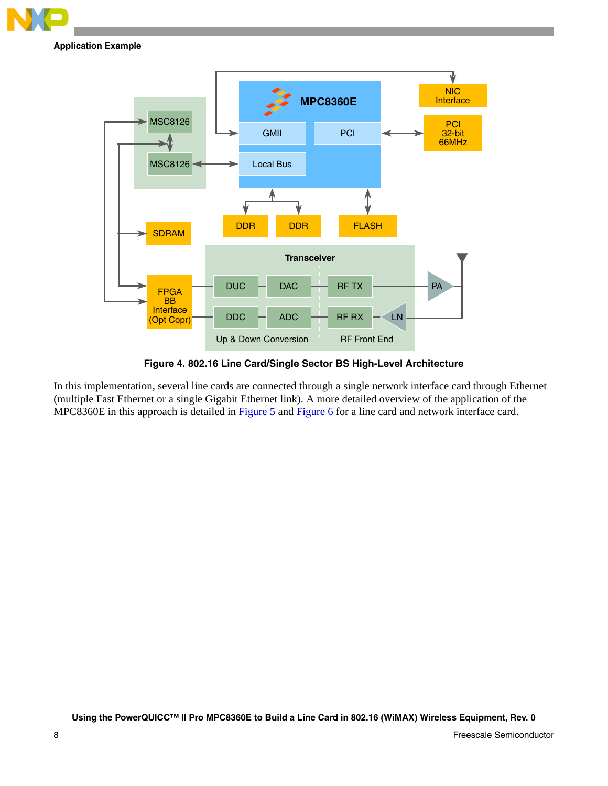

### **Application Example**



**Figure 4. 802.16 Line Card/Single Sector BS High-Level Architecture**

<span id="page-7-0"></span>In this implementation, several line cards are connected through a single network interface card through Ethernet (multiple Fast Ethernet or a single Gigabit Ethernet link). A more detailed overview of the application of the MPC8360E in this approach is detailed in [Figure 5](#page-8-0) and [Figure 6](#page-8-1) for a line card and network interface card.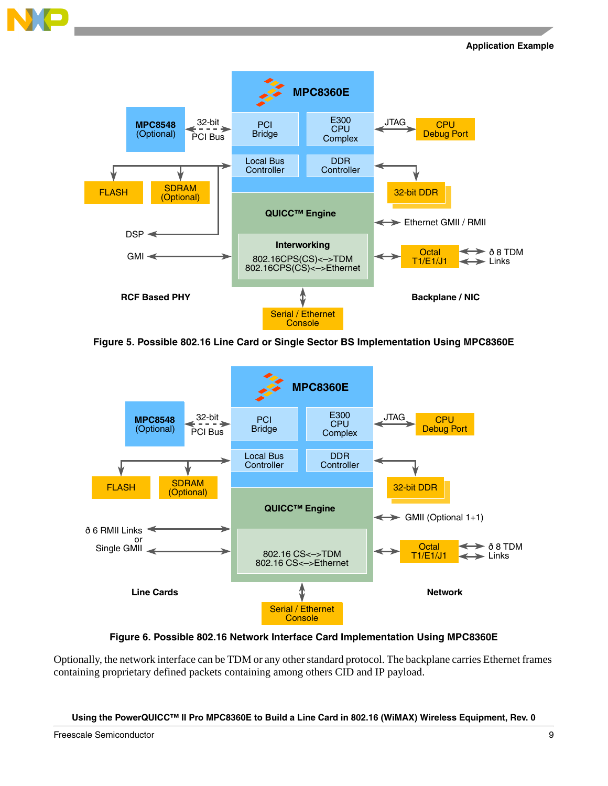



**Figure 5. Possible 802.16 Line Card or Single Sector BS Implementation Using MPC8360E**

<span id="page-8-0"></span>

**Figure 6. Possible 802.16 Network Interface Card Implementation Using MPC8360E**

<span id="page-8-1"></span>Optionally, the network interface can be TDM or any other standard protocol. The backplane carries Ethernet frames containing proprietary defined packets containing among others CID and IP payload.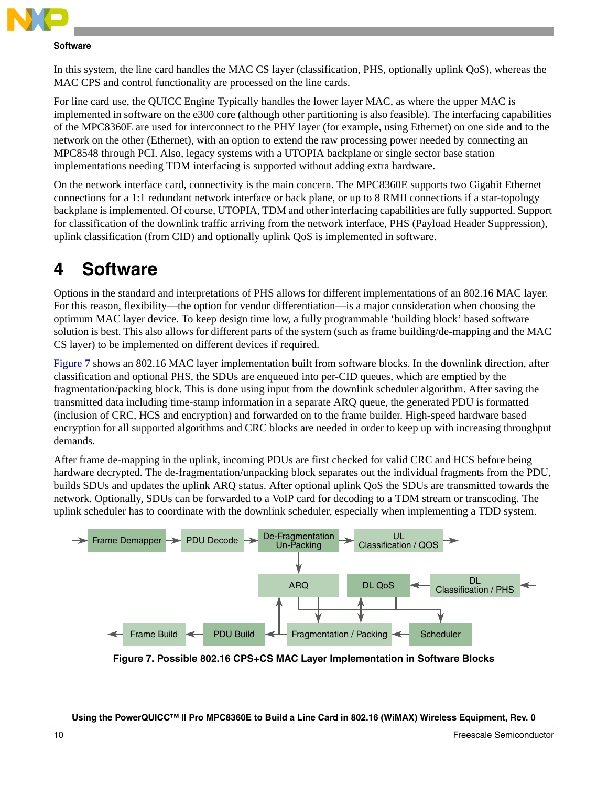

### **Software**

In this system, the line card handles the MAC CS layer (classification, PHS, optionally uplink QoS), whereas the MAC CPS and control functionality are processed on the line cards.

For line card use, the QUICC Engine Typically handles the lower layer MAC, as where the upper MAC is implemented in software on the e300 core (although other partitioning is also feasible). The interfacing capabilities of the MPC8360E are used for interconnect to the PHY layer (for example, using Ethernet) on one side and to the network on the other (Ethernet), with an option to extend the raw processing power needed by connecting an MPC8548 through PCI. Also, legacy systems with a UTOPIA backplane or single sector base station implementations needing TDM interfacing is supported without adding extra hardware.

On the network interface card, connectivity is the main concern. The MPC8360E supports two Gigabit Ethernet connections for a 1:1 redundant network interface or back plane, or up to 8 RMII connections if a star-topology backplane is implemented. Of course, UTOPIA, TDM and other interfacing capabilities are fully supported. Support for classification of the downlink traffic arriving from the network interface, PHS (Payload Header Suppression), uplink classification (from CID) and optionally uplink QoS is implemented in software.

# <span id="page-9-0"></span>**4 Software**

Options in the standard and interpretations of PHS allows for different implementations of an 802.16 MAC layer. For this reason, flexibility—the option for vendor differentiation—is a major consideration when choosing the optimum MAC layer device. To keep design time low, a fully programmable 'building block' based software solution is best. This also allows for different parts of the system (such as frame building/de-mapping and the MAC CS layer) to be implemented on different devices if required.

[Figure 7](#page-9-1) shows an 802.16 MAC layer implementation built from software blocks. In the downlink direction, after classification and optional PHS, the SDUs are enqueued into per-CID queues, which are emptied by the fragmentation/packing block. This is done using input from the downlink scheduler algorithm. After saving the transmitted data including time-stamp information in a separate ARQ queue, the generated PDU is formatted (inclusion of CRC, HCS and encryption) and forwarded on to the frame builder. High-speed hardware based encryption for all supported algorithms and CRC blocks are needed in order to keep up with increasing throughput demands.

After frame de-mapping in the uplink, incoming PDUs are first checked for valid CRC and HCS before being hardware decrypted. The de-fragmentation/unpacking block separates out the individual fragments from the PDU, builds SDUs and updates the uplink ARQ status. After optional uplink QoS the SDUs are transmitted towards the network. Optionally, SDUs can be forwarded to a VoIP card for decoding to a TDM stream or transcoding. The uplink scheduler has to coordinate with the downlink scheduler, especially when implementing a TDD system.



<span id="page-9-1"></span>**Figure 7. Possible 802.16 CPS+CS MAC Layer Implementation in Software Blocks**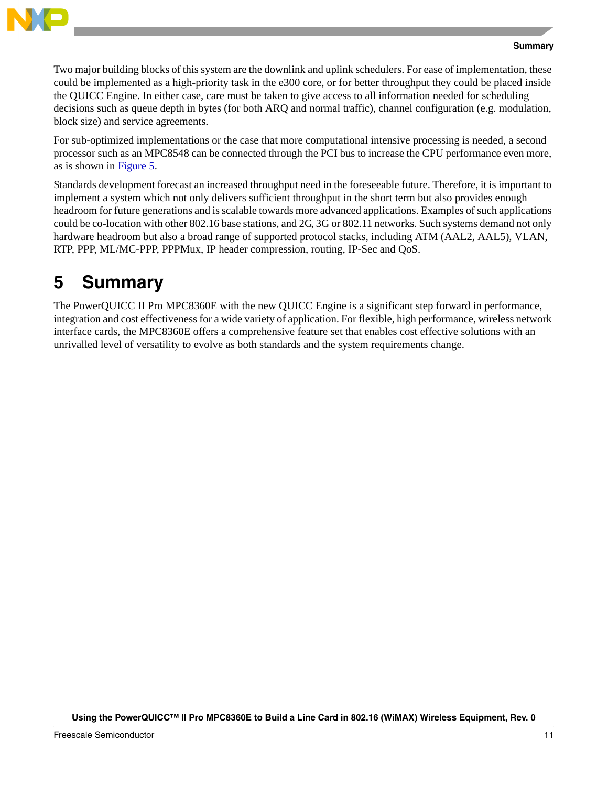

### **Summary**

Two major building blocks of this system are the downlink and uplink schedulers. For ease of implementation, these could be implemented as a high-priority task in the e300 core, or for better throughput they could be placed inside the QUICC Engine. In either case, care must be taken to give access to all information needed for scheduling decisions such as queue depth in bytes (for both ARQ and normal traffic), channel configuration (e.g. modulation, block size) and service agreements.

For sub-optimized implementations or the case that more computational intensive processing is needed, a second processor such as an MPC8548 can be connected through the PCI bus to increase the CPU performance even more, as is shown in [Figure 5.](#page-8-0)

Standards development forecast an increased throughput need in the foreseeable future. Therefore, it is important to implement a system which not only delivers sufficient throughput in the short term but also provides enough headroom for future generations and is scalable towards more advanced applications. Examples of such applications could be co-location with other 802.16 base stations, and 2G, 3G or 802.11 networks. Such systems demand not only hardware headroom but also a broad range of supported protocol stacks, including ATM (AAL2, AAL5), VLAN, RTP, PPP, ML/MC-PPP, PPPMux, IP header compression, routing, IP-Sec and QoS.

# <span id="page-10-0"></span>**5 Summary**

The PowerQUICC II Pro MPC8360E with the new QUICC Engine is a significant step forward in performance, integration and cost effectiveness for a wide variety of application. For flexible, high performance, wireless network interface cards, the MPC8360E offers a comprehensive feature set that enables cost effective solutions with an unrivalled level of versatility to evolve as both standards and the system requirements change.